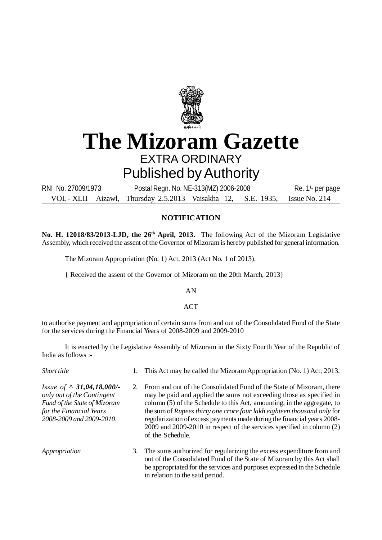

# **The Mizoram Gazette** EXTRA ORDINARY Published by Authority

VOL - XLII Aizawl, Thursday 2.5.2013 Vaisakha 12, S.E. 1935, Issue No. 214 RNI No. 27009/1973 Postal Regn. No. NE-313(MZ) 2006-2008 Re. 1/- per page

## **NOTIFICATION**

**No. H. 12018/83/2013-LJD, the 26th April, 2013.** The following Act of the Mizoram Legislative Assembly, which received the assent of the Governor of Mizoram is hereby published for general information.

The Mizoram Appropriation (No. 1) Act, 2013 (Act No. 1 of 2013).

{ Received the assent of the Governor of Mizoram on the 20th March, 2013}

AN

ACT

to authorise payment and appropriation of certain sums from and out of the Consolidated Fund of the State for the services during the Financial Years of 2008-2009 and 2009-2010

It is enacted by the Legislative Assembly of Mizoram in the Sixty Fourth Year of the Republic of India as follows :-

| Short title                                                                                                                                          |  | 1. This Act may be called the Mizoram Appropriation (No. 1) Act, 2013.                                                                                                                                                                                                                                                                                                                                                                                                     |  |
|------------------------------------------------------------------------------------------------------------------------------------------------------|--|----------------------------------------------------------------------------------------------------------------------------------------------------------------------------------------------------------------------------------------------------------------------------------------------------------------------------------------------------------------------------------------------------------------------------------------------------------------------------|--|
| Issue of $\land$ 31,04,18,000/-<br>only out of the Contingent<br>Fund of the State of Mizoram<br>for the Financial Years<br>2008-2009 and 2009-2010. |  | From and out of the Consolidated Fund of the State of Mizoram, there<br>may be paid and applied the sums not exceeding those as specified in<br>column (5) of the Schedule to this Act, amounting, in the aggregate, to<br>the sum of Rupees thirty one crore four lakh eighteen thousand only for<br>regularization of excess payments made during the financial years 2008-<br>2009 and 2009-2010 in respect of the services specified in column (2)<br>of the Schedule. |  |
| Appropriation                                                                                                                                        |  | 3. The sums authorized for regularizing the excess expenditure from and<br>out of the Consolidated Fund of the State of Mizoram by this Act shall<br>be appropriated for the services and purposes expressed in the Schedule                                                                                                                                                                                                                                               |  |

in relation to the said period.